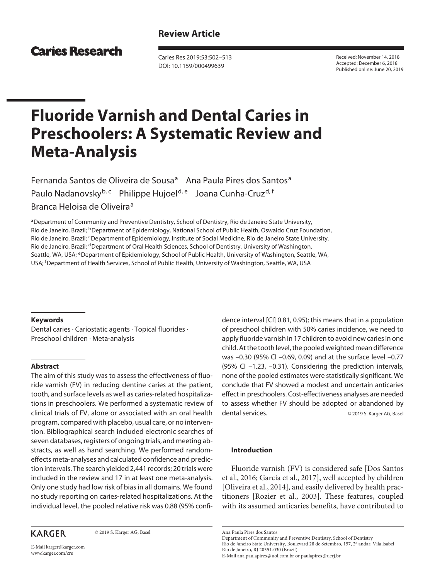**Caries Research** 

Caries Res 2019;53:502–513 DOI: 10.1159/000499639

Received: November 14, 2018 Accepted: December 6, 2018 Published online: June 20, 2019

# **Fluoride Varnish and Dental Caries in Preschoolers: A Systematic Review and Meta-Analysis**

Fernanda Santos de Oliveira de Sousa<sup>a</sup> Ana Paula Pires dos Santos<sup>a</sup> Paulo Nadanovsky<sup>b, c</sup> Philippe Hujoel<sup>d, e</sup> Joana Cunha-Cruz<sup>d, f</sup> Branca Heloisa de Oliveira<sup>a</sup>

aDepartment of Community and Preventive Dentistry, School of Dentistry, Rio de Janeiro State University, Rio de Janeiro, Brazil; <sup>b</sup>Department of Epidemiology, National School of Public Health, Oswaldo Cruz Foundation, Rio de Janeiro, Brazil; <sup>c</sup>Department of Epidemiology, Institute of Social Medicine, Rio de Janeiro State University, Rio de Janeiro, Brazil; <sup>d</sup>Department of Oral Health Sciences, School of Dentistry, University of Washington, Seattle, WA, USA; <sup>e</sup>Department of Epidemiology, School of Public Health, University of Washington, Seattle, WA, USA; <sup>f</sup> Department of Health Services, School of Public Health, University of Washington, Seattle, WA, USA

## **Keywords**

Dental caries · Cariostatic agents · Topical fluorides · Preschool children · Meta-analysis

## **Abstract**

The aim of this study was to assess the effectiveness of fluoride varnish (FV) in reducing dentine caries at the patient, tooth, and surface levels as well as caries-related hospitalizations in preschoolers. We performed a systematic review of clinical trials of FV, alone or associated with an oral health program, compared with placebo, usual care, or no intervention. Bibliographical search included electronic searches of seven databases, registers of ongoing trials, and meeting abstracts, as well as hand searching. We performed randomeffects meta-analyses and calculated confidence and prediction intervals. The search yielded 2,441 records; 20 trials were included in the review and 17 in at least one meta-analysis. Only one study had low risk of bias in all domains. We found no study reporting on caries-related hospitalizations. At the individual level, the pooled relative risk was 0.88 (95% confi-

# **KARGER**

© 2019 S. Karger AG, Basel

E-Mail karger@karger.com www.karger.com/cre

dence interval [CI] 0.81, 0.95); this means that in a population of preschool children with 50% caries incidence, we need to apply fluoride varnish in 17 children to avoid new caries in one child. At the tooth level, the pooled weighted mean difference was –0.30 (95% CI –0.69, 0.09) and at the surface level –0.77 (95% CI –1.23, –0.31). Considering the prediction intervals, none of the pooled estimates were statistically significant. We conclude that FV showed a modest and uncertain anticaries effect in preschoolers. Cost-effectiveness analyses are needed to assess whether FV should be adopted or abandoned by dental services. © 2019 S. Karger AG, Basel

#### **Introduction**

Fluoride varnish (FV) is considered safe [Dos Santos et al., 2016; Garcia et al., 2017], well accepted by children [Oliveira et al., 2014], and easily delivered by health practitioners [Rozier et al., 2003]. These features, coupled with its assumed anticaries benefits, have contributed to

Ana Paula Pires dos Santos

Department of Community and Preventive Dentistry, School of Dentistry

Rio de Janeiro State University, Boulevard 28 de Setembro, 157, 2o andar, Vila Isabel Rio de Janeiro, RJ 20551-030 (Brazil)

E-Mail ana.paulapires@uol.com.br or paulapires@uerj.br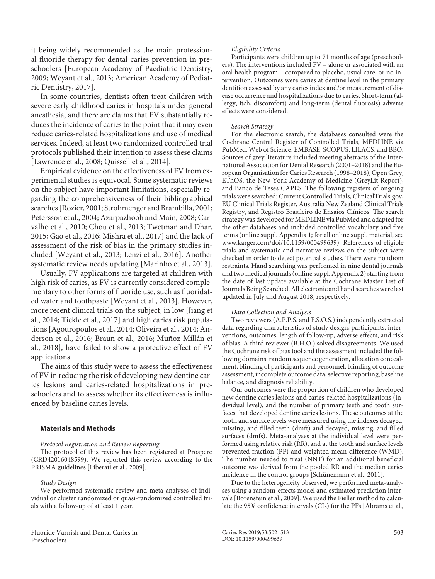it being widely recommended as the main professional fluoride therapy for dental caries prevention in preschoolers [European Academy of Paediatric Dentistry, 2009; Weyant et al., 2013; American Academy of Pediatric Dentistry, 2017].

In some countries, dentists often treat children with severe early childhood caries in hospitals under general anesthesia, and there are claims that FV substantially reduces the incidence of caries to the point that it may even reduce caries-related hospitalizations and use of medical services. Indeed, at least two randomized controlled trial protocols published their intention to assess these claims [Lawrence et al., 2008; Quissell et al., 2014].

Empirical evidence on the effectiveness of FV from experimental studies is equivocal. Some systematic reviews on the subject have important limitations, especially regarding the comprehensiveness of their bibliographical searches [Rozier, 2001; Strohmenger and Brambilla, 2001; Petersson et al., 2004; Azarpazhooh and Main, 2008; Carvalho et al., 2010; Chou et al., 2013; Twetman and Dhar, 2015; Gao et al., 2016; Mishra et al., 2017] and the lack of assessment of the risk of bias in the primary studies included [Weyant et al., 2013; Lenzi et al., 2016]. Another systematic review needs updating [Marinho et al., 2013].

Usually, FV applications are targeted at children with high risk of caries, as FV is currently considered complementary to other forms of fluoride use, such as fluoridated water and toothpaste [Weyant et al., 2013]. However, more recent clinical trials on the subject, in low [Jiang et al., 2014; Tickle et al., 2017] and high caries risk populations [Agouropoulos et al., 2014; Oliveira et al., 2014; Anderson et al., 2016; Braun et al., 2016; Muñoz-Millán et al., 2018], have failed to show a protective effect of FV applications.

The aims of this study were to assess the effectiveness of FV in reducing the risk of developing new dentine caries lesions and caries-related hospitalizations in preschoolers and to assess whether its effectiveness is influenced by baseline caries levels.

#### **Materials and Methods**

#### *Protocol Registration and Review Reporting*

The protocol of this review has been registered at Prospero (CRD42016048599). We reported this review according to the PRISMA guidelines [Liberati et al., 2009].

#### *Study Design*

We performed systematic review and meta-analyses of individual or cluster randomized or quasi-randomized controlled trials with a follow-up of at least 1 year.

#### *Eligibility Criteria*

Participants were children up to 71 months of age (preschoolers). The interventions included FV – alone or associated with an oral health program – compared to placebo, usual care, or no intervention. Outcomes were caries at dentine level in the primary dentition assessed by any caries index and/or measurement of disease occurrence and hospitalizations due to caries. Short-term (allergy, itch, discomfort) and long-term (dental fluorosis) adverse effects were considered.

#### *Search Strategy*

For the electronic search, the databases consulted were the Cochrane Central Register of Controlled Trials, MEDLINE via PubMed, Web of Science, EMBASE, SCOPUS, LILACS, and BBO. Sources of grey literature included meeting abstracts of the International Association for Dental Research (2001–2018) and the European Organisation for Caries Research (1998–2018), Open Grey, EThOS, the New York Academy of Medicine (GreyLit Report), and Banco de Teses CAPES. The following registers of ongoing trials were searched: Current Controlled Trials, ClinicalTrials.gov, EU Clinical Trials Register, Australia New Zealand Clinical Trials Registry, and Registro Brasileiro de Ensaios Clínicos. The search strategy was developed for MEDLINE via PubMed and adapted for the other databases and included controlled vocabulary and free terms (online suppl. Appendix 1; for all online suppl. material, see www.karger.com/doi/10.1159/000499639). References of eligible trials and systematic and narrative reviews on the subject were checked in order to detect potential studies. There were no idiom restraints. Hand searching was performed in nine dental journals and two medical journals (online suppl. Appendix 2) starting from the date of last update available at the Cochrane Master List of Journals Being Searched. All electronic and hand searches were last updated in July and August 2018, respectively.

#### *Data Collection and Analysis*

Two reviewers (A.P.P.S. and F.S.O.S.) independently extracted data regarding characteristics of study design, participants, interventions, outcomes, length of follow-up, adverse effects, and risk of bias. A third reviewer (B.H.O.) solved disagreements. We used the Cochrane risk of bias tool and the assessment included the following domains: random sequence generation, allocation concealment, blinding of participants and personnel, blinding of outcome assessment, incomplete outcome data, selective reporting, baseline balance, and diagnosis reliability.

Our outcomes were the proportion of children who developed new dentine caries lesions and caries-related hospitalizations (individual level), and the number of primary teeth and tooth surfaces that developed dentine caries lesions. These outcomes at the tooth and surface levels were measured using the indexes decayed, missing, and filled teeth (dmft) and decayed, missing, and filled surfaces (dmfs). Meta-analyses at the individual level were performed using relative risk (RR), and at the tooth and surface levels prevented fraction (PF) and weighted mean difference (WMD). The number needed to treat (NNT) for an additional beneficial outcome was derived from the pooled RR and the median caries incidence in the control groups [Schünemann et al., 2011].

Due to the heterogeneity observed, we performed meta-analyses using a random-effects model and estimated prediction intervals [Borenstein et al., 2009]. We used the Fieller method to calculate the 95% confidence intervals (CIs) for the PFs [Abrams et al.,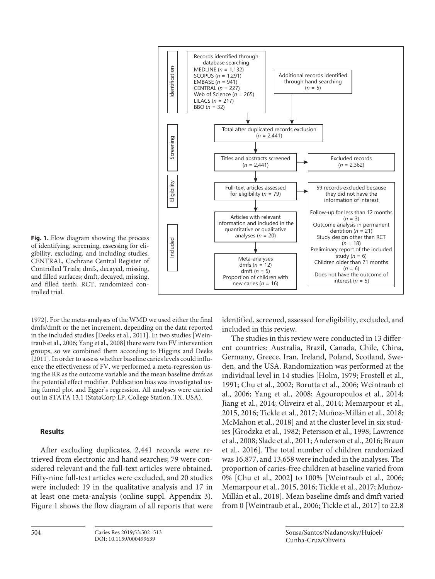

**Fig. 1.** Flow diagram showing the process of identifying, screening, assessing for eligibility, excluding, and including studies. CENTRAL, Cochrane Central Register of Controlled Trials; dmfs, decayed, missing, and filled surfaces; dmft, decayed, missing, and filled teeth; RCT, randomized controlled trial.

1972]. For the meta-analyses of the WMD we used either the final dmfs/dmft or the net increment, depending on the data reported in the included studies [Deeks et al., 2011]. In two studies [Weintraub et al., 2006; Yang et al., 2008] there were two FV intervention groups, so we combined them according to Higgins and Deeks [2011]. In order to assess whether baseline caries levels could influence the effectiveness of FV, we performed a meta-regression using the RR as the outcome variable and the mean baseline dmfs as the potential effect modifier. Publication bias was investigated using funnel plot and Egger's regression. All analyses were carried out in STATA 13.1 (StataCorp LP, College Station, TX, USA).

## **Results**

After excluding duplicates, 2,441 records were retrieved from electronic and hand searches; 79 were considered relevant and the full-text articles were obtained. Fifty-nine full-text articles were excluded, and 20 studies were included: 19 in the qualitative analysis and 17 in at least one meta-analysis (online suppl. Appendix 3). Figure 1 shows the flow diagram of all reports that were

identified, screened, assessed for eligibility, excluded, and included in this review.

The studies in this review were conducted in 13 different countries: Australia, Brazil, Canada, Chile, China, Germany, Greece, Iran, Ireland, Poland, Scotland, Sweden, and the USA. Randomization was performed at the individual level in 14 studies [Holm, 1979; Frostell et al., 1991; Chu et al., 2002; Borutta et al., 2006; Weintraub et al., 2006; Yang et al., 2008; Agouropoulos et al., 2014; Jiang et al., 2014; Oliveira et al., 2014; Memarpour et al., 2015, 2016; Tickle et al., 2017; Muñoz-Millán et al., 2018; McMahon et al., 2018] and at the cluster level in six studies [Grodzka et al., 1982; Petersson et al., 1998; Lawrence et al., 2008; Slade et al., 2011; Anderson et al., 2016; Braun et al., 2016]. The total number of children randomized was 16,877, and 13,658 were included in the analyses. The proportion of caries-free children at baseline varied from 0% [Chu et al., 2002] to 100% [Weintraub et al., 2006; Memarpour et al., 2015, 2016; Tickle et al., 2017; Muñoz-Millán et al., 2018]. Mean baseline dmfs and dmft varied from 0 [Weintraub et al., 2006; Tickle et al., 2017] to 22.8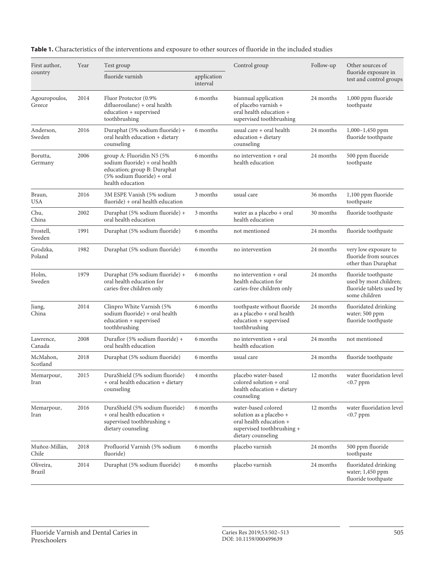| First author,           | Year | Test group                                                                                                                                                       |                         | Control group                                                                                                                 | Follow-up | Other sources of                                                                           |
|-------------------------|------|------------------------------------------------------------------------------------------------------------------------------------------------------------------|-------------------------|-------------------------------------------------------------------------------------------------------------------------------|-----------|--------------------------------------------------------------------------------------------|
| country                 |      | fluoride varnish                                                                                                                                                 | application<br>interval |                                                                                                                               |           | fluoride exposure in<br>test and control groups                                            |
| Agouropoulos,<br>Greece | 2014 | Fluor Protector (0.9%<br>difluorosilane) + oral health<br>education + supervised<br>toothbrushing                                                                | 6 months                | biannual application<br>of placebo varnish +<br>oral health education +<br>supervised toothbrushing                           | 24 months | 1,000 ppm fluoride<br>toothpaste                                                           |
| Anderson,<br>Sweden     | 2016 | Duraphat (5% sodium fluoride) +<br>oral health education + dietary<br>counseling                                                                                 | 6 months                | usual care + oral health<br>education + dietary<br>counseling                                                                 | 24 months | $1,000-1,450$ ppm<br>fluoride toothpaste                                                   |
| Borutta,<br>Germany     | 2006 | group A: Fluoridin N5 (5%<br>sodium fluoride) + oral health<br>education; group B: Duraphat<br>$(5\% \text{ sodium fluoride}) + \text{oral}$<br>health education | 6 months                | no intervention + oral<br>health education                                                                                    | 24 months | 500 ppm fluoride<br>toothpaste                                                             |
| Braun,<br>USA           | 2016 | 3M ESPE Vanish (5% sodium<br>fluoride) + oral health education                                                                                                   | 3 months                | usual care                                                                                                                    | 36 months | 1,100 ppm fluoride<br>toothpaste                                                           |
| Chu,<br>China           | 2002 | Duraphat (5% sodium fluoride) +<br>oral health education                                                                                                         | 3 months                | water as a placebo + oral<br>health education                                                                                 | 30 months | fluoride toothpaste                                                                        |
| Frostell,<br>Sweden     | 1991 | Duraphat (5% sodium fluoride)                                                                                                                                    | 6 months                | not mentioned                                                                                                                 | 24 months | fluoride toothpaste                                                                        |
| Grodzka,<br>Poland      | 1982 | Duraphat (5% sodium fluoride)                                                                                                                                    | 6 months                | no intervention                                                                                                               | 24 months | very low exposure to<br>fluoride from sources<br>other than Duraphat                       |
| Holm,<br>Sweden         | 1979 | Duraphat (5% sodium fluoride) +<br>oral health education for<br>caries-free children only                                                                        | 6 months                | no intervention + oral<br>health education for<br>caries-free children only                                                   | 24 months | fluoride toothpaste<br>used by most children;<br>fluoride tablets used by<br>some children |
| Jiang,<br>China         | 2014 | Clinpro White Varnish (5%<br>sodium fluoride) + oral health<br>education + supervised<br>toothbrushing                                                           | 6 months                | toothpaste without fluoride<br>as a placebo + oral health<br>education + supervised<br>toothbrushing                          | 24 months | fluoridated drinking<br>water; 500 ppm<br>fluoride toothpaste                              |
| Lawrence,<br>Canada     | 2008 | Duraflor (5% sodium fluoride) +<br>oral health education                                                                                                         | 6 months                | no intervention + oral<br>health education                                                                                    | 24 months | not mentioned                                                                              |
| McMahon,<br>Scotland    | 2018 | Duraphat (5% sodium fluoride)                                                                                                                                    | 6 months                | usual care                                                                                                                    | 24 months | fluoride toothpaste                                                                        |
| Memarpour,<br>Iran      | 2015 | DuraShield (5% sodium fluoride)<br>+ oral health education + dietary<br>counseling                                                                               | 4 months                | placebo water-based<br>colored solution + oral<br>health education + dietary<br>counseling                                    | 12 months | water fluoridation level<br>$<$ 0.7 ppm                                                    |
| Memarpour,<br>Iran      | 2016 | DuraShield (5% sodium fluoride)<br>+ oral health education +<br>supervised toothbrushing +<br>dietary counseling                                                 | 6 months                | water-based colored<br>solution as a placebo +<br>oral health education +<br>supervised toothbrushing +<br>dietary counseling | 12 months | water fluoridation level<br>$<$ 0.7 ppm                                                    |
| Muñoz-Millán,<br>Chile  | 2018 | Profluorid Varnish (5% sodium<br>fluoride)                                                                                                                       | 6 months                | placebo varnish                                                                                                               | 24 months | 500 ppm fluoride<br>toothpaste                                                             |
| Oliveira,<br>Brazil     | 2014 | Duraphat (5% sodium fluoride)                                                                                                                                    | 6 months                | placebo varnish                                                                                                               | 24 months | fluoridated drinking<br>water; $1,450$ ppm<br>fluoride toothpaste                          |

**Table 1.** Characteristics of the interventions and exposure to other sources of fluoride in the included studies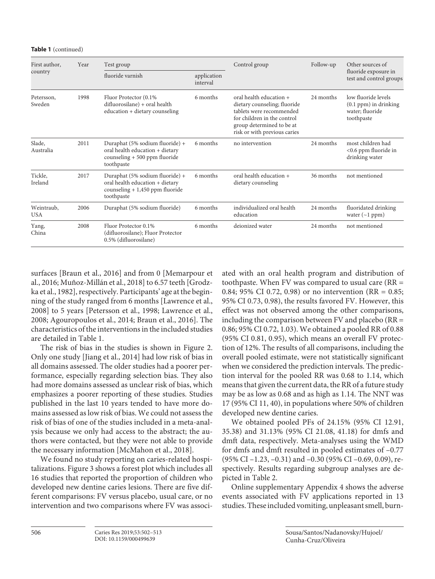**Table 1** (continued)

| First author,            | Year | Test group                                                                                                           |                         | Control group                                                                                                                                                                   | Follow-up | Other sources of                                                                |
|--------------------------|------|----------------------------------------------------------------------------------------------------------------------|-------------------------|---------------------------------------------------------------------------------------------------------------------------------------------------------------------------------|-----------|---------------------------------------------------------------------------------|
| country                  |      | fluoride varnish                                                                                                     | application<br>interval |                                                                                                                                                                                 |           | fluoride exposure in<br>test and control groups                                 |
| Petersson,<br>Sweden     | 1998 | Fluor Protector (0.1%)<br>difluorosilane) + oral health<br>education + dietary counseling                            | 6 months                | oral health education +<br>dietary counseling; fluoride<br>tablets were recommended<br>for children in the control<br>group determined to be at<br>risk or with previous caries | 24 months | low fluoride levels<br>$(0.1$ ppm) in drinking<br>water; fluoride<br>toothpaste |
| Slade,<br>Australia      | 2011 | Duraphat (5% sodium fluoride) +<br>oral health education + dietary<br>counseling $+500$ ppm fluoride<br>toothpaste   | 6 months                | no intervention                                                                                                                                                                 | 24 months | most children had<br><0.6 ppm fluoride in<br>drinking water                     |
| Tickle,<br>Ireland       | 2017 | Duraphat (5% sodium fluoride) +<br>oral health education + dietary<br>counseling $+1,450$ ppm fluoride<br>toothpaste | 6 months                | oral health education +<br>dietary counseling                                                                                                                                   | 36 months | not mentioned                                                                   |
| Weintraub,<br><b>USA</b> | 2006 | Duraphat (5% sodium fluoride)                                                                                        | 6 months                | individualized oral health<br>education                                                                                                                                         | 24 months | fluoridated drinking<br>water $(\sim 1$ ppm)                                    |
| Yang,<br>China           | 2008 | Fluor Protector 0.1%<br>(difluorosilane); Fluor Protector<br>0.5% (difluorosilane)                                   | 6 months                | deionized water                                                                                                                                                                 | 24 months | not mentioned                                                                   |

surfaces [Braun et al., 2016] and from 0 [Memarpour et al., 2016; Muñoz-Millán et al., 2018] to 6.57 teeth [Grodzka et al., 1982], respectively. Participants' age at the beginning of the study ranged from 6 months [Lawrence et al., 2008] to 5 years [Petersson et al., 1998; Lawrence et al., 2008; Agouropoulos et al., 2014; Braun et al., 2016]. The characteristics of the interventions in the included studies are detailed in Table 1.

The risk of bias in the studies is shown in Figure 2. Only one study [Jiang et al., 2014] had low risk of bias in all domains assessed. The older studies had a poorer performance, especially regarding selection bias. They also had more domains assessed as unclear risk of bias, which emphasizes a poorer reporting of these studies. Studies published in the last 10 years tended to have more domains assessed as low risk of bias. We could not assess the risk of bias of one of the studies included in a meta-analysis because we only had access to the abstract; the authors were contacted, but they were not able to provide the necessary information [McMahon et al., 2018].

We found no study reporting on caries-related hospitalizations. Figure 3 shows a forest plot which includes all 16 studies that reported the proportion of children who developed new dentine caries lesions. There are five different comparisons: FV versus placebo, usual care, or no intervention and two comparisons where FV was associated with an oral health program and distribution of toothpaste. When FV was compared to usual care (RR = 0.84; 95% CI 0.72, 0.98) or no intervention (RR = 0.85; 95% CI 0.73, 0.98), the results favored FV. However, this effect was not observed among the other comparisons, including the comparison between FV and placebo (RR = 0.86; 95% CI 0.72, 1.03). We obtained a pooled RR of 0.88 (95% CI 0.81, 0.95), which means an overall FV protection of 12%. The results of all comparisons, including the overall pooled estimate, were not statistically significant when we considered the prediction intervals. The prediction interval for the pooled RR was 0.68 to 1.14, which means that given the current data, the RR of a future study may be as low as 0.68 and as high as 1.14. The NNT was 17 (95% CI 11, 40), in populations where 50% of children developed new dentine caries.

We obtained pooled PFs of 24.15% (95% CI 12.91, 35.38) and 31.13% (95% CI 21.08, 41.18) for dmfs and dmft data, respectively. Meta-analyses using the WMD for dmfs and dmft resulted in pooled estimates of –0.77 (95% CI –1.23, –0.31) and –0.30 (95% CI –0.69, 0.09), respectively. Results regarding subgroup analyses are depicted in Table 2.

Online supplementary Appendix 4 shows the adverse events associated with FV applications reported in 13 studies. These included vomiting, unpleasant smell, burn-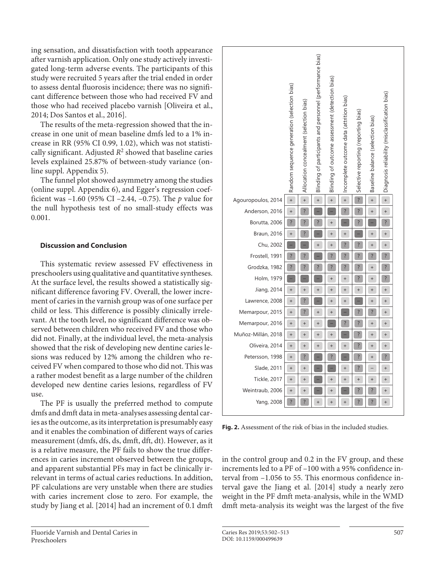ing sensation, and dissatisfaction with tooth appearance after varnish application. Only one study actively investigated long-term adverse events. The participants of this study were recruited 5 years after the trial ended in order to assess dental fluorosis incidence; there was no significant difference between those who had received FV and those who had received placebo varnish [Oliveira et al., 2014; Dos Santos et al., 2016].

The results of the meta-regression showed that the increase in one unit of mean baseline dmfs led to a 1% increase in RR (95% CI 0.99, 1.02), which was not statistically significant. Adjusted  $R^2$  showed that baseline caries levels explained 25.87% of between-study variance (online suppl. Appendix 5).

The funnel plot showed asymmetry among the studies (online suppl. Appendix 6), and Egger's regression coefficient was –1.60 (95% CI –2.44, –0.75). The *p* value for the null hypothesis test of no small-study effects was 0.001.

# **Discussion and Conclusion**

This systematic review assessed FV effectiveness in preschoolers using qualitative and quantitative syntheses. At the surface level, the results showed a statistically significant difference favoring FV. Overall, the lower increment of caries in the varnish group was of one surface per child or less. This difference is possibly clinically irrelevant. At the tooth level, no significant difference was observed between children who received FV and those who did not. Finally, at the individual level, the meta-analysis showed that the risk of developing new dentine caries lesions was reduced by 12% among the children who received FV when compared to those who did not. This was a rather modest benefit as a large number of the children developed new dentine caries lesions, regardless of FV use.

The PF is usually the preferred method to compute dmfs and dmft data in meta-analyses assessing dental caries as the outcome, as its interpretation is presumably easy and it enables the combination of different ways of caries measurement (dmfs, dfs, ds, dmft, dft, dt). However, as it is a relative measure, the PF fails to show the true differences in caries increment observed between the groups, and apparent substantial PFs may in fact be clinically irrelevant in terms of actual caries reductions. In addition, PF calculations are very unstable when there are studies with caries increment close to zero. For example, the study by Jiang et al. [2014] had an increment of 0.1 dmft



**Fig. 2.** Assessment of the risk of bias in the included studies.

in the control group and 0.2 in the FV group, and these increments led to a PF of –100 with a 95% confidence interval from –1.056 to 55. This enormous confidence interval gave the Jiang et al. [2014] study a nearly zero weight in the PF dmft meta-analysis, while in the WMD dmft meta-analysis its weight was the largest of the five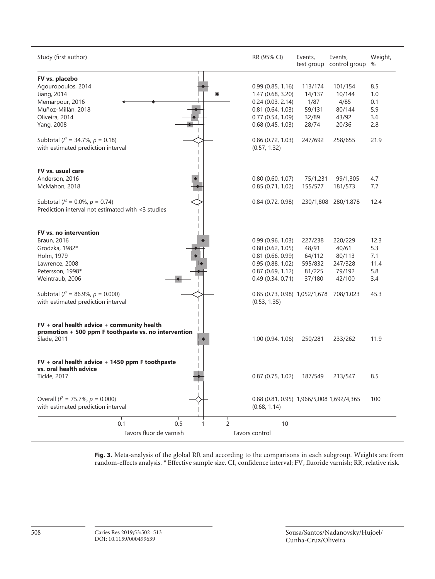| Study (first author)                                                                                              | RR (95% CI)<br>Weight,<br>Events,<br>Events,<br>control group<br>test group<br>% |
|-------------------------------------------------------------------------------------------------------------------|----------------------------------------------------------------------------------|
| FV vs. placebo                                                                                                    |                                                                                  |
| Agouropoulos, 2014                                                                                                | 0.99(0.85, 1.16)<br>113/174<br>101/154<br>8.5                                    |
| Jiang, 2014                                                                                                       | 1.47 (0.68, 3.20)<br>14/137<br>10/144<br>1.0                                     |
| Memarpour, 2016                                                                                                   | 0.24(0.03, 2.14)<br>1/87<br>4/85<br>0.1                                          |
| Muñoz-Millán, 2018                                                                                                | 0.81(0.64, 1.03)<br>59/131<br>5.9<br>80/144                                      |
| Oliveira, 2014                                                                                                    | 0.77(0.54, 1.09)<br>32/89<br>3.6<br>43/92                                        |
| Yang, 2008                                                                                                        | 28/74<br>2.8<br>$0.68$ (0.45, 1.03)<br>20/36                                     |
| Subtotal ( $l^2$ = 34.7%, $p$ = 0.18)<br>with estimated prediction interval                                       | 21.9<br>$0.86$ (0.72, 1.03)<br>247/692<br>258/655<br>(0.57, 1.32)                |
|                                                                                                                   |                                                                                  |
| FV vs. usual care                                                                                                 |                                                                                  |
| Anderson, 2016                                                                                                    | $0.80$ (0.60, 1.07)<br>75/1,231<br>4.7<br>99/1,305                               |
| McMahon, 2018                                                                                                     | 0.85(0.71, 1.02)<br>155/577<br>181/573<br>7.7                                    |
| Subtotal ( $l^2 = 0.0\%$ , $p = 0.74$ )<br>Prediction interval not estimated with <3 studies                      | $0.84$ (0.72, 0.98)<br>230/1,808 280/1,878<br>12.4                               |
| FV vs. no intervention                                                                                            |                                                                                  |
| Braun, 2016                                                                                                       | 0.99(0.96, 1.03)<br>227/238<br>220/229<br>12.3                                   |
| Grodzka, 1982*                                                                                                    | 0.80(0.62, 1.05)<br>5.3<br>48/91<br>40/61                                        |
| Holm, 1979                                                                                                        | $0.81$ (0.66, 0.99)<br>64/112<br>80/113<br>7.1                                   |
| Lawrence, 2008                                                                                                    | 0.95(0.88, 1.02)<br>595/832<br>247/328<br>11.4                                   |
| Petersson, 1998*                                                                                                  | 0.87(0.69, 1.12)<br>5.8<br>81/225<br>79/192                                      |
| Weintraub, 2006                                                                                                   | 3.4<br>0.49(0.34, 0.71)<br>37/180<br>42/100                                      |
| Subtotal ( $l^2$ = 86.9%, $p$ = 0.000)<br>with estimated prediction interval                                      | 0.85 (0.73, 0.98) 1,052/1,678<br>45.3<br>708/1,023<br>(0.53, 1.35)               |
| FV + oral health advice + community health<br>promotion + 500 ppm F toothpaste vs. no intervention<br>Slade, 2011 | 1.00 (0.94, 1.06)<br>250/281<br>11.9<br>233/262                                  |
| FV + oral health advice + 1450 ppm F toothpaste<br>vs. oral health advice<br><b>Tickle, 2017</b>                  | $0.87$ (0.75, 1.02)<br>213/547<br>187/549<br>8.5                                 |
| Overall ( $l^2$ = 75.7%, $p$ = 0.000)<br>with estimated prediction interval                                       | 0.88 (0.81, 0.95) 1,966/5,008 1,692/4,365<br>100<br>(0.68, 1.14)                 |
| 0.5<br>0.1<br>1                                                                                                   | $\overline{c}$<br>10                                                             |
| Favors fluoride varnish                                                                                           | Favors control                                                                   |

**Fig. 3.** Meta-analysis of the global RR and according to the comparisons in each subgroup. Weights are from random-effects analysis. \* Effective sample size. CI, confidence interval; FV, fluoride varnish; RR, relative risk.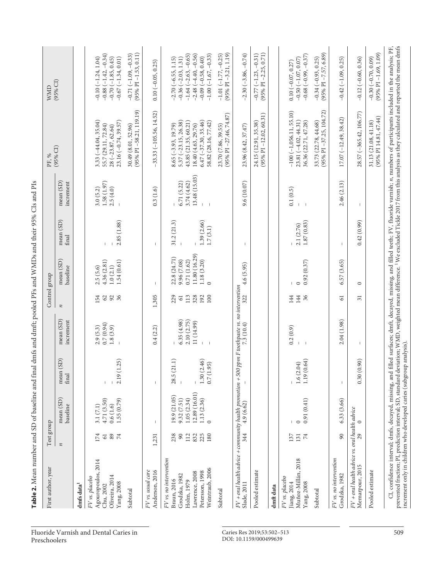| First author, year                                                                                                                                             | Test group                                  |                                                                                             |                                                            |                                                               | Control group                                      |                                                                                      |                                       |                                            | PF, %                                                                                                                                                                                                                                                                                                                                             | WMD                                                                                                                                                                            |
|----------------------------------------------------------------------------------------------------------------------------------------------------------------|---------------------------------------------|---------------------------------------------------------------------------------------------|------------------------------------------------------------|---------------------------------------------------------------|----------------------------------------------------|--------------------------------------------------------------------------------------|---------------------------------------|--------------------------------------------|---------------------------------------------------------------------------------------------------------------------------------------------------------------------------------------------------------------------------------------------------------------------------------------------------------------------------------------------------|--------------------------------------------------------------------------------------------------------------------------------------------------------------------------------|
|                                                                                                                                                                | $\boldsymbol{\pi}$                          | $\begin{array}{c} \mathrm{mean}\left( \mathrm{SD} \right) \\ \mathrm{baseline} \end{array}$ | mean (SD)<br>final                                         | mean (SD)<br>increment                                        | $\boldsymbol{\pi}$                                 | mean (SD)<br>baseline                                                                | mean (SD)<br>final                    | mean (SD)<br>increment                     | (95% CI)                                                                                                                                                                                                                                                                                                                                          | (95% CI)                                                                                                                                                                       |
| dmfs data <sup>1</sup>                                                                                                                                         |                                             |                                                                                             |                                                            |                                                               |                                                    |                                                                                      |                                       |                                            |                                                                                                                                                                                                                                                                                                                                                   |                                                                                                                                                                                |
| Agouropoulos, 2014<br>Oliveira, 2014<br>FV vs. placebo<br>Yang, 2008<br>Chu, 2002<br>Subtotal                                                                  | 89 74<br>174<br>$61\,$                      | 4.71 (3.50)<br>1.55 (0.79)<br>0.6(1.6)<br>3.1(7.1)                                          | (1.25)<br>2.19<br>$\perp$                                  | 0.7(0.94)<br>2.9(5.3)<br>1.8(3.9)<br>$\overline{\phantom{0}}$ | 92<br>36<br>$62$<br>154                            | 1.54(0.61)<br>4.36 (2.81)<br>1.0(2.1)<br>2.5(5.6)                                    | 2.85 (1.88)                           | 1.58 (1.97)<br>3.0(5.2)<br>2.5(4.0)        | $(95\% \text{ PI} - 58.21, 119.19)$<br>$3.33(-44.04, 35.04)$<br>23.16 (-0.74, 39.57)<br>55.7 (29.11, 72.84)<br>30.49 (8.01, 52.96)<br>$28 (-23.87, 62.64)$                                                                                                                                                                                        | $(95\%$ PI $-1.53$ , 0.11)<br>$-0.88(-1.42,-0.34)$<br>$-0.71(-1.09,-0.33)$<br>$-0.10(-1.24, 1.04)$<br>$-0.70(-1.85, 0.45)$<br>$-0.67$ $(-1.34, 0.01)$                          |
| FV vs. usual care<br>Anderson, 2016                                                                                                                            | 1,231                                       | $\overline{\phantom{a}}$                                                                    | $\mathbf{I}$                                               | 0.4(2.2)                                                      | 1,305                                              | $\mathbf{I}$                                                                         | $\mathbf{I}$                          | 0.3(1.6)                                   | $-33.33(-105.56, 14.52)$                                                                                                                                                                                                                                                                                                                          | $0.10(-0.05, 0.25)$                                                                                                                                                            |
| FV vs. no intervention<br>Weintraub, 2006<br>Lawrence, 2008<br>Petersson, 1998<br>Grodzka, 1982<br>Braun, 2016<br>Holm, 1979<br>Subtotal                       | 112<br>225<br>238<br>$\infty$<br>832<br>180 | 12.89 (16.01)<br>19.9 (21.05)<br>1.05(2.34)<br>1.13 (2.36)<br>9.32 (7.51)<br>$\circ$        | (21.1)<br>(2.46)<br>0.7(1.95)<br>1.30 <sub>1</sub><br>28.5 | 6.35(4.98)<br>2.10 (2.75)<br>11 (14.99)                       | 113<br>328<br>100<br>229<br>192<br>$\overline{61}$ | 11.80 (16.29)<br>22.8 (24.71)<br>9.96 (7.08)<br>1.18 (3.20)<br>0.71(1.62)<br>$\circ$ | 31.2(21.3)<br>1.39 (2.66)<br>1.7(3.1) | 13.48 (15.03)<br>3.74(4.62)<br>6.71 (5.22) | 43.85 (21.35, 60.21)<br>$6.47$ ( $-37.30$ , $35.46$ )<br>58.82 (28.16, 77.42)<br>$5.37(-23.15, 26.38)$<br>18.40 (4.63, 29.76)<br>$8.65(-3.93, 19.79)$<br>23.70 (7.86, 39.55)                                                                                                                                                                      | $-1.64 (-2.63, -0.65)$<br>$-2.48(-4.40,-0.56)$<br>$-1.00(-1.67, -0.33)$<br>$-1.01(-1.77, -0.25)$<br>$-0.09$ $(-0.58, 0.40)$<br>$-2.70(-6.55, 1.15)$<br>$-0.36$ $(-2.03, 1.31)$ |
| FV + oral health advice + community health promotion + 500 ppm F toothpaste vs. no intervention<br>Slade. 2011 $\qquad$ 344 $\qquad$ 4.9 (6.62)<br>Slade, 2011 |                                             |                                                                                             |                                                            |                                                               |                                                    | 4.6 (5.95)                                                                           | $\mathbf{I}$                          | 9.6(10.07)                                 | $(95\% \text{ PI } -27.46, 74.87)$<br>23.96 (8.42, 37.47)                                                                                                                                                                                                                                                                                         | $(95\%$ PI $-3.21, 1.19)$<br>$-2.30(-3.86, -0.74)$                                                                                                                             |
| Pooled estimate                                                                                                                                                |                                             |                                                                                             |                                                            |                                                               |                                                    |                                                                                      |                                       |                                            | $(95\% \text{ PI} - 12.02, 60.31)$<br>24.15 (12.91, 35.38)                                                                                                                                                                                                                                                                                        | $(95\%$ PI $-2.25, 0.71)$<br>$-0.77(-1.23,-0.31)$                                                                                                                              |
| dmft data                                                                                                                                                      |                                             |                                                                                             |                                                            |                                                               |                                                    |                                                                                      |                                       |                                            |                                                                                                                                                                                                                                                                                                                                                   |                                                                                                                                                                                |
| Muñoz-Millán, 2018<br>FV vs. placebo<br>Yang, 2008<br>Jiang, 2014<br>Subtotal                                                                                  | $\mathbb{Z}$<br>137<br>131                  | 0.91(0.41)<br>$\circ$                                                                       | 1.19(0.64)<br>2.04)<br>1.6(                                | 0.2(0.9)                                                      | 36<br>144<br>144                                   | 0.92(0.37)<br>$\circ$                                                                | 1.87(0.83)<br>2.1 (2.76)              | 0.1(0.5)                                   | $(95\% \text{ PI } -37.25, 104.72)$<br>$-100(-1,056.11,55.10)$<br>$23.81 (-4.02, 44.31)$<br>36.36 (22.71, 47.28)<br>33.73 (22.78, 44.68)                                                                                                                                                                                                          | $(95\%$ PI $-7.57, 6.89)$<br>$-0.68(-0.99, -0.37)$<br>$-0.34(-0.93, 0.25)$<br>$-0.50(-1.07, 0.07)$<br>$0.10 (-0.07, 0.27)$                                                     |
| FV vs. no intervention<br>Grodzka, 1982                                                                                                                        | $\infty$                                    | 6.33 (3.66)                                                                                 | $\mathsf I$                                                | 2.04 (1.98)                                                   | 61                                                 | 6.57(3.65)                                                                           | $\mathbf{I}$                          | 2.46 (2.13)                                | $17.07(-12.49, 38.42)$                                                                                                                                                                                                                                                                                                                            | $-0.42(-1.09, 0.25)$                                                                                                                                                           |
| $FV + ord$ health advice vs. oral health advice<br>Memarpour, 2015 $29$                                                                                        |                                             |                                                                                             | (0.90)<br>0.30                                             | $\mathbf{I}$                                                  | $\overline{31}$                                    | $\circ$                                                                              | 0.42(0.99)                            | $\mathbf{I}$                               | 28.57 (-365.42, 106.77)                                                                                                                                                                                                                                                                                                                           | $-0.12(-0.60, 0.36)$                                                                                                                                                           |
| Pooled estimate                                                                                                                                                |                                             |                                                                                             |                                                            |                                                               |                                                    |                                                                                      |                                       |                                            | (95% PI 14.81, 47.44)<br>31.13(21.08, 41.18)                                                                                                                                                                                                                                                                                                      | $(95\%$ PI $-1.69$ , 1.09)<br>$-0.30(-0.70, 0.09)$                                                                                                                             |
| increment only in children who developed caries (subgroup analysis).<br>prevented fraction; PI, prediction interval; SD, standard                              |                                             |                                                                                             |                                                            |                                                               |                                                    |                                                                                      |                                       |                                            | deviation; WMD, weighted mean difference. <sup>1</sup> We excluded Tickle 2017 from this analysis as they calculated and reported the mean dmfs<br>CI, confidence interval; dmfs, decayed, missing, and filled surfaces; dmft, decayed, missing, and filled teeth; FV, fluoride varnish; n, numbers of participants included in the analysis; PF, |                                                                                                                                                                                |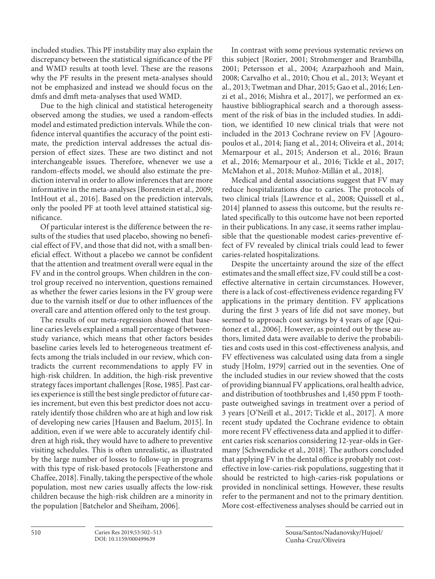included studies. This PF instability may also explain the discrepancy between the statistical significance of the PF and WMD results at tooth level. These are the reasons why the PF results in the present meta-analyses should not be emphasized and instead we should focus on the dmfs and dmft meta-analyses that used WMD.

Due to the high clinical and statistical heterogeneity observed among the studies, we used a random-effects model and estimated prediction intervals. While the confidence interval quantifies the accuracy of the point estimate, the prediction interval addresses the actual dispersion of effect sizes. These are two distinct and not interchangeable issues. Therefore, whenever we use a random-effects model, we should also estimate the prediction interval in order to allow inferences that are more informative in the meta-analyses [Borenstein et al., 2009; IntHout et al., 2016]. Based on the prediction intervals, only the pooled PF at tooth level attained statistical significance.

Of particular interest is the difference between the results of the studies that used placebo, showing no beneficial effect of FV, and those that did not, with a small beneficial effect. Without a placebo we cannot be confident that the attention and treatment overall were equal in the FV and in the control groups. When children in the control group received no intervention, questions remained as whether the fewer caries lesions in the FV group were due to the varnish itself or due to other influences of the overall care and attention offered only to the test group.

The results of our meta-regression showed that baseline caries levels explained a small percentage of betweenstudy variance, which means that other factors besides baseline caries levels led to heterogeneous treatment effects among the trials included in our review, which contradicts the current recommendations to apply FV in high-risk children. In addition, the high-risk preventive strategy faces important challenges [Rose, 1985]. Past caries experience is still the best single predictor of future caries increment, but even this best predictor does not accurately identify those children who are at high and low risk of developing new caries [Hausen and Baelum, 2015]. In addition, even if we were able to accurately identify children at high risk, they would have to adhere to preventive visiting schedules. This is often unrealistic, as illustrated by the large number of losses to follow-up in programs with this type of risk-based protocols [Featherstone and Chaffee, 2018]. Finally, taking the perspective of the whole population, most new caries usually affects the low-risk children because the high-risk children are a minority in the population [Batchelor and Sheiham, 2006].

In contrast with some previous systematic reviews on this subject [Rozier, 2001; Strohmenger and Brambilla, 2001; Petersson et al., 2004; Azarpazhooh and Main, 2008; Carvalho et al., 2010; Chou et al., 2013; Weyant et al., 2013; Twetman and Dhar, 2015; Gao et al., 2016; Lenzi et al., 2016; Mishra et al., 2017], we performed an exhaustive bibliographical search and a thorough assessment of the risk of bias in the included studies. In addition, we identified 10 new clinical trials that were not included in the 2013 Cochrane review on FV [Agouropoulos et al., 2014; Jiang et al., 2014; Oliveira et al., 2014; Memarpour et al., 2015; Anderson et al., 2016; Braun et al., 2016; Memarpour et al., 2016; Tickle et al., 2017; McMahon et al., 2018; Muñoz-Millán et al., 2018].

Medical and dental associations suggest that FV may reduce hospitalizations due to caries. The protocols of two clinical trials [Lawrence et al., 2008; Quissell et al., 2014] planned to assess this outcome, but the results related specifically to this outcome have not been reported in their publications. In any case, it seems rather implausible that the questionable modest caries-preventive effect of FV revealed by clinical trials could lead to fewer caries-related hospitalizations.

Despite the uncertainty around the size of the effect estimates and the small effect size, FV could still be a costeffective alternative in certain circumstances. However, there is a lack of cost-effectiveness evidence regarding FV applications in the primary dentition. FV applications during the first 3 years of life did not save money, but seemed to approach cost savings by 4 years of age [Quiñonez et al., 2006]. However, as pointed out by these authors, limited data were available to derive the probabilities and costs used in this cost-effectiveness analysis, and FV effectiveness was calculated using data from a single study [Holm, 1979] carried out in the seventies. One of the included studies in our review showed that the costs of providing biannual FV applications, oral health advice, and distribution of toothbrushes and 1,450 ppm F toothpaste outweighed savings in treatment over a period of 3 years [O'Neill et al., 2017; Tickle et al., 2017]. A more recent study updated the Cochrane evidence to obtain more recent FV effectiveness data and applied it to different caries risk scenarios considering 12-year-olds in Germany [Schwendicke et al., 2018]. The authors concluded that applying FV in the dental office is probably not costeffective in low-caries-risk populations, suggesting that it should be restricted to high-caries-risk populations or provided in nonclinical settings. However, these results refer to the permanent and not to the primary dentition. More cost-effectiveness analyses should be carried out in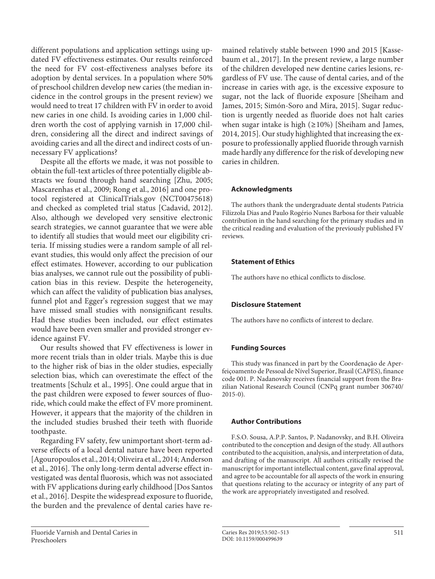different populations and application settings using updated FV effectiveness estimates. Our results reinforced the need for FV cost-effectiveness analyses before its adoption by dental services. In a population where 50% of preschool children develop new caries (the median incidence in the control groups in the present review) we would need to treat 17 children with FV in order to avoid new caries in one child. Is avoiding caries in 1,000 children worth the cost of applying varnish in 17,000 children, considering all the direct and indirect savings of avoiding caries and all the direct and indirect costs of unnecessary FV applications?

Despite all the efforts we made, it was not possible to obtain the full-text articles of three potentially eligible abstracts we found through hand searching [Zhu, 2005; Mascarenhas et al., 2009; Rong et al., 2016] and one protocol registered at ClinicalTrials.gov (NCT00475618) and checked as completed trial status [Cadavid, 2012]. Also, although we developed very sensitive electronic search strategies, we cannot guarantee that we were able to identify all studies that would meet our eligibility criteria. If missing studies were a random sample of all relevant studies, this would only affect the precision of our effect estimates. However, according to our publication bias analyses, we cannot rule out the possibility of publication bias in this review. Despite the heterogeneity, which can affect the validity of publication bias analyses, funnel plot and Egger's regression suggest that we may have missed small studies with nonsignificant results. Had these studies been included, our effect estimates would have been even smaller and provided stronger evidence against FV.

Our results showed that FV effectiveness is lower in more recent trials than in older trials. Maybe this is due to the higher risk of bias in the older studies, especially selection bias, which can overestimate the effect of the treatments [Schulz et al., 1995]. One could argue that in the past children were exposed to fewer sources of fluoride, which could make the effect of FV more prominent. However, it appears that the majority of the children in the included studies brushed their teeth with fluoride toothpaste.

Regarding FV safety, few unimportant short-term adverse effects of a local dental nature have been reported [Agouropoulos et al., 2014; Oliveira et al., 2014; Anderson et al., 2016]. The only long-term dental adverse effect investigated was dental fluorosis, which was not associated with FV applications during early childhood [Dos Santos et al., 2016]. Despite the widespread exposure to fluoride, the burden and the prevalence of dental caries have remained relatively stable between 1990 and 2015 [Kassebaum et al., 2017]. In the present review, a large number of the children developed new dentine caries lesions, regardless of FV use. The cause of dental caries, and of the increase in caries with age, is the excessive exposure to sugar, not the lack of fluoride exposure [Sheiham and James, 2015; Simón-Soro and Mira, 2015]. Sugar reduction is urgently needed as fluoride does not halt caries when sugar intake is high  $(\geq 10\%)$  [Sheiham and James, 2014, 2015]. Our study highlighted that increasing the exposure to professionally applied fluoride through varnish made hardly any difference for the risk of developing new caries in children.

## **Acknowledgments**

The authors thank the undergraduate dental students Patricia Filizzola Dias and Paulo Rogério Nunes Barbosa for their valuable contribution in the hand searching for the primary studies and in the critical reading and evaluation of the previously published FV reviews.

## **Statement of Ethics**

The authors have no ethical conflicts to disclose.

## **Disclosure Statement**

The authors have no conflicts of interest to declare.

# **Funding Sources**

This study was financed in part by the Coordenação de Aperfeiçoamento de Pessoal de Nível Superior, Brasil (CAPES), finance code 001. P. Nadanovsky receives financial support from the Brazilian National Research Council (CNPq grant number 306740/ 2015-0).

## **Author Contributions**

F.S.O. Sousa, A.P.P. Santos, P. Nadanovsky, and B.H. Oliveira contributed to the conception and design of the study. All authors contributed to the acquisition, analysis, and interpretation of data, and drafting of the manuscript. All authors critically revised the manuscript for important intellectual content, gave final approval, and agree to be accountable for all aspects of the work in ensuring that questions relating to the accuracy or integrity of any part of the work are appropriately investigated and resolved.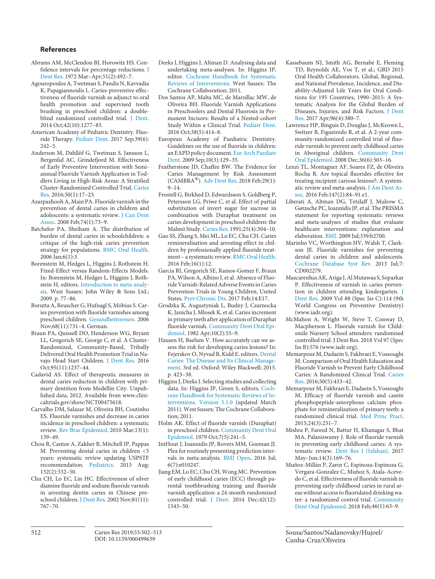#### **References**

- Abrams AM, McClendon BJ, Horowitz HS. Confidence intervals for percentage reductions. J Dent Res. 1972 Mar–Apr;51(2):492–7.
- Agouropoulos A, Twetman S, Pandis N, Kavvadia K, Papagiannoulis L. Caries-preventive effectiveness of fluoride varnish as adjunct to oral health promotion and supervised tooth brushing in preschool children: a doubleblind randomized controlled trial. J Dent. 2014 Oct;42(10):1277–83.
- American Academy of Pediatric Dentistry. Fluoride Therapy. Pediatr Dent. 2017 Sep;39(6):  $242 - 5$ .
- Anderson M, Dahllöf G, Twetman S, Jansson L, Bergenlid AC, Grindefjord M. Effectiveness of Early Preventive Intervention with Semiannual Fluoride Varnish Application in Toddlers Living in High-Risk Areas: A Stratified Cluster-Randomized Controlled Trial. Caries Res. 2016;50(1):17–23.
- Azarpazhooh A, Main PA. Fluoride varnish in the prevention of dental caries in children and adolescents: a systematic review. J Can Dent Assoc. 2008 Feb;74(1):73–9.
- Batchelor PA, Sheiham A. The distribution of burden of dental caries in schoolchildren: a critique of the high-risk caries prevention strategy for populations. BMC Oral Health. 2006 Jan;6(1):3.
- Borenstein M, Hedges L, Higgins J, Rothstein H. Fixed-Effect versus Random-Effects Models. In: Borenstein M, Hedges L, Higgins J, Rothstein H, editors. Introduction to meta-analysis. West Sussex: John Wiley & Sons Ltd.; 2009. p. 77–86.
- Borutta A, Reuscher G, Hufnagl S, Möbius S. Caries prevention with fluoride varnishes among preschool children. Gesundheitswesen. 2006 Nov;68(11):731–4. German.
- Braun PA, Quissell DO, Henderson WG, Bryant LL, Gregorich SE, George C, et al. A Cluster-Randomized, Community-Based, Tribally Delivered Oral Health Promotion Trial in Navajo Head Start Children. J Dent Res. 2016  $Oct:95(11):1237-44$
- Cadavid AS. Effect of therapeutic measures in dental caries reduction in children with primary dentition from Medellín City. Unpublished data, 2012. Available from www.clinicaltrials.gov/show/NCT00475618.
- Carvalho DM, Salazar M, Oliveira BH, Coutinho ES. Fluoride varnishes and decrease in caries incidence in preschool children: a systematic review. Rev Bras Epidemiol. 2010 Mar;13(1): 139–49.
- Chou R, Cantor A, Zakher B, Mitchell JP, Pappas M. Preventing dental caries in children <5 years: systematic review updating USPSTF recommendation. Pediatrics. 2013 Aug; 132(2):332–50.
- Chu CH, Lo EC, Lin HC. Effectiveness of silver diamine fluoride and sodium fluoride varnish in arresting dentin caries in Chinese preschool children. J Dent Res. 2002 Nov;81(11): 767–70.
- Deeks J, Higgins J, Altman D. Analysing data and undertaking meta-analyses. In: Higgins JP, editor. Cochrane Handbook for Systematic Reviews of Interventions. West Sussex: The Cochrane Collaboration; 2011.
- Dos Santos AP, Malta MC, de Marsillac MW, de Oliveira BH. Fluoride Varnish Applications in Preschoolers and Dental Fluorosis in Permanent Incisors: Results of a Nested-cohort Study Within a Clinical Trial. Pediatr Dent. 2016 Oct;38(5):414–8.
- European Academy of Paediatric Dentistry. Guidelines on the use of fluoride in children: an EAPD policy document. Eur Arch Paediatr Dent. 2009 Sep;10(3):129–35.
- Featherstone JD, Chaffee BW. The Evidence for Caries Management by Risk Assessment (CAMBRA®). Adv Dent Res. 2018 Feb;29(1):  $9 - 14.$
- Frostell G, Birkhed D, Edwardsson S, Goldberg P, Petersson LG, Priwe C, et al. Effect of partial substitution of invert sugar for sucrose in combination with Duraphat treatment on caries development in preschool children: the Malmö Study. Caries Res. 1991;25(4):304–10.
- Gao SS, Zhang S, Mei ML, Lo EC, Chu CH. Caries remineralisation and arresting effect in children by professionally applied fluoride treatment – a systematic review. BMC Oral Health. 2016 Feb;16(1):12.
- Garcia RI, Gregorich SE, Ramos-Gomez F, Braun PA, Wilson A, Albino J, et al. Absence of Fluoride Varnish-Related Adverse Events in Caries Prevention Trials in Young Children, United States. Prev Chronic Dis. 2017 Feb;14:E17.
- Grodzka K, Augustyniak L, Budny J, Czarnocka K, Janicha J, Mlosek K, et al. Caries increment in primary teeth after application of Duraphat fluoride varnish. Community Dent Oral Epidemiol. 1982 Apr;10(2):55–9.
- Hausen H, Baelum V. How accurately can we assess the risk for developing caries lesions? In: Fejerskov O, Nyvad B, Kidd E, editors. Dental Caries: The Disease and Its Clinical Management. 3rd ed. Oxford: Wiley Blackwell; 2015. p. 423–38.
- Higgins J, Deeks J. Selecting studies and collecting data. In: Higgins JP, Green S, editors. Cochrane Handbook for Systematic Reviews of Interventions. Version 5.1.0 (updated March 2011). West Sussex: The Cochrane Collaboration; 2011.
- Holm AK. Effect of fluoride varnish (Duraphat) in preschool children. Community Dent Oral Epidemiol. 1979 Oct;7(5):241–5.
- IntHout J, Ioannidis JP, Rovers MM, Goeman JJ. Plea for routinely presenting prediction intervals in meta-analysis. BMJ Open. 2016 Jul; 6(7):e010247.
- Jiang EM, Lo EC, Chu CH, Wong MC. Prevention of early childhood caries (ECC) through parental toothbrushing training and fluoride varnish application: a 24-month randomized controlled trial. J Dent. 2014 Dec; 42(12): 1543–50.
- Kassebaum NJ, Smith AG, Bernabé E, Fleming TD, Reynolds AE, Vos T, et al.; GBD 2015 Oral Health Collaborators. Global, Regional, and National Prevalence, Incidence, and Disability-Adjusted Life Years for Oral Conditions for 195 Countries, 1990–2015: A Systematic Analysis for the Global Burden of Diseases, Injuries, and Risk Factors. J Dent Res. 2017 Apr;96(4):380–7.
- Lawrence HP, Binguis D, Douglas J, McKeown L, Switzer B, Figueiredo R, et al. A 2-year community-randomized controlled trial of fluoride varnish to prevent early childhood caries in Aboriginal children. Community Dent Oral Epidemiol. 2008 Dec;36(6):503–16.
- Lenzi TL, Montagner AF, Soares FZ, de Oliveira Rocha R. Are topical fluorides effective for treating incipient carious lesions?: A systematic review and meta-analysis. J Am Dent Assoc. 2016 Feb;147(2):84–91.e1.
- Liberati A, Altman DG, Tetzlaff J, Mulrow C, Gøtzsche PC, Ioannidis JP, et al. The PRISMA statement for reporting systematic reviews and meta-analyses of studies that evaluate healthcare interventions: explanation and elaboration. BMJ. 2009 Jul;339:b2700.
- Marinho VC, Worthington HV, Walsh T, Clarkson JE. Fluoride varnishes for preventing dental caries in children and adolescents. Cochrane Database Syst Rev. 2013 Jul;7: CD002279.
- Mascarenhas AK, Ariga J, Al Mutawaa S, Soparkar P. Effectiveness of varnish in caries prevention in children attending kindergarten. J Dent Res. 2009 Vol 88 (Spec Iss C):114 (9th World Congress on Preventive Dentistry) (www.iadr.org).
- McMahon A, Wright W, Steve T, Conway D, Macpherson L. Fluoride varnish for Childsmile Nursery School attenders: randomised controlled trial. J Dent Res. 2018 Vol 97 (Spec Iss B):576 (www.iadr.org).
- Memarpour M, Dadaein S, Fakhraei E, Vossoughi M. Comparison of Oral Health Education and Fluoride Varnish to Prevent Early Childhood Caries: A Randomized Clinical Trial. Caries Res. 2016;50(5):433–42.
- Memarpour M, Fakhraei E, Dadaein S, Vossoughi M. Efficacy of fluoride varnish and casein phosphopeptide-amorphous calcium phosphate for remineralization of primary teeth: a randomized clinical trial. Med Princ Pract. 2015;24(3):231–7.
- Mishra P, Fareed N, Battur H, Khanagar S, Bhat MA, Palaniswamy J. Role of fluoride varnish in preventing early childhood caries: A systematic review. Dent Res J (Isfahan). 2017 May–Jun;14(3):169–76.
- Muñoz-Millán P, Zaror C, Espinoza-Espinoza G, Vergara-Gonzalez C, Muñoz S, Atala-Acevedo C, et al. Effectiveness of fluoride varnish in preventing early childhood caries in rural areas without access to fluoridated drinking water: a randomized control trial. Community Dent Oral Epidemiol. 2018 Feb;46(1):63–9.